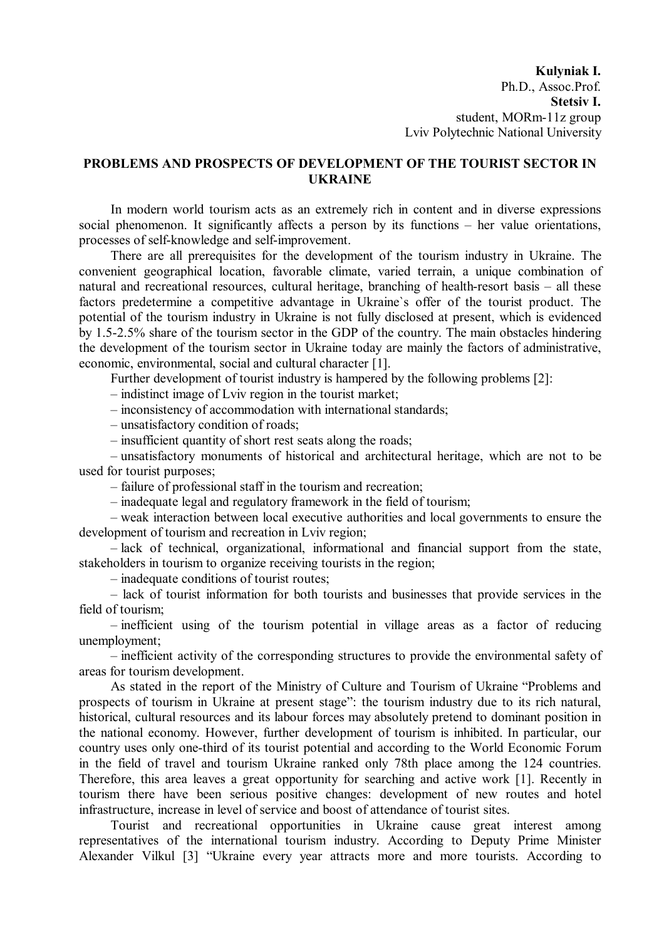**Kulyniak I.** Ph.D., Assoc.Prof. **Stetsiv I.** student, MОRm-11z group Lviv Polytechnic National University

## **PROBLEMS AND PROSPECTS OF DEVELOPMENT OF THE TOURIST SECTOR IN UKRAINE**

In modern world tourism acts as an extremely rich in content and in diverse expressions social phenomenon. It significantly affects a person by its functions – her value orientations, processes of self-knowledge and self-improvement.

There are all prerequisites for the development of the tourism industry in Ukraine. The convenient geographical location, favorable climate, varied terrain, a unique combination of natural and recreational resources, cultural heritage, branching of health-resort basis – all these factors predetermine a competitive advantage in Ukraine`s offer of the tourist product. The potential of the tourism industry in Ukraine is not fully disclosed at present, which is evidenced by 1.5-2.5% share of the tourism sector in the GDP of the country. The main obstacles hindering the development of the tourism sector in Ukraine today are mainly the factors of administrative, economic, environmental, social and cultural character [1].

Further development of tourist industry is hampered by the following problems [2]:

– indistinct image of Lviv region in the tourist market;

– inconsistency of accommodation with international standards;

– unsatisfactory condition of roads;

– insufficient quantity of short rest seats along the roads;

– unsatisfactory monuments of historical and architectural heritage, which are not to be used for tourist purposes;

– failure of professional staff in the tourism and recreation;

– inadequate legal and regulatory framework in the field of tourism;

– weak interaction between local executive authorities and local governments to ensure the development of tourism and recreation in Lviv region;

– lack of technical, organizational, informational and financial support from the state, stakeholders in tourism to organize receiving tourists in the region;

– inadequate conditions of tourist routes;

– lack of tourist information for both tourists and businesses that provide services in the field of tourism;

– inefficient using of the tourism potential in village areas as a factor of reducing unemployment;

– inefficient activity of the corresponding structures to provide the environmental safety of areas for tourism development.

As stated in the report of the Ministry of Culture and Tourism of Ukraine "Problems and prospects of tourism in Ukraine at present stage": the tourism industry due to its rich natural, historical, cultural resources and its labour forces may absolutely pretend to dominant position in the national economy. However, further development of tourism is inhibited. In particular, our country uses only one-third of its tourist potential and according to the World Economic Forum in the field of travel and tourism Ukraine ranked only 78th place among the 124 countries. Therefore, this area leaves a great opportunity for searching and active work [1]. Recently in tourism there have been serious positive changes: development of new routes and hotel infrastructure, increase in level of service and boost of attendance of tourist sites.

Tourist and recreational opportunities in Ukraine cause great interest among representatives of the international tourism industry. According to Deputy Prime Minister Alexander Vilkul [3] "Ukraine every year attracts more and more tourists. According to